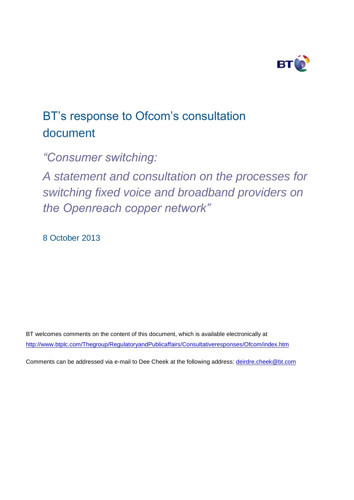

# BT's response to Ofcom's consultation document

*"Consumer switching:* 

*A statement and consultation on the processes for switching fixed voice and broadband providers on the Openreach copper network"*

8 October 2013

BT welcomes comments on the content of this document, which is available electronically at <http://www.btplc.com/Thegroup/RegulatoryandPublicaffairs/Consultativeresponses/Ofcom/index.htm>

Comments can be addressed via e-mail to Dee Cheek at the following address: deirdre.cheek@bt.com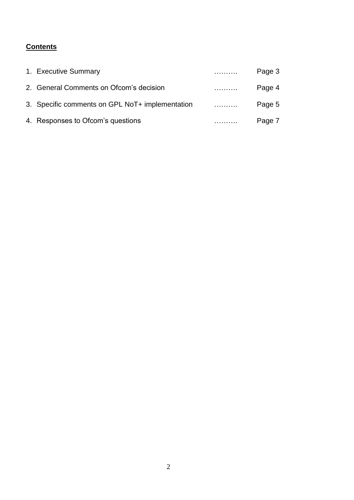# **Contents**

| 1. Executive Summary                            | . | Page 3 |
|-------------------------------------------------|---|--------|
| 2. General Comments on Ofcom's decision         |   | Page 4 |
| 3. Specific comments on GPL NoT+ implementation | . | Page 5 |
| 4. Responses to Ofcom's questions               |   | Page 7 |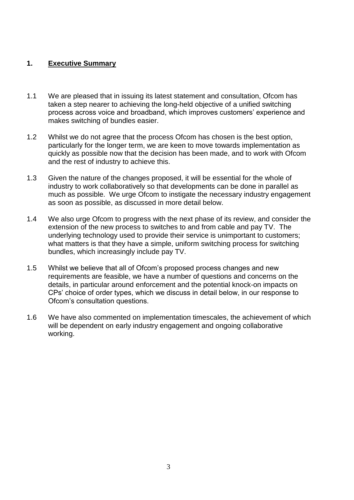#### **1. Executive Summary**

- 1.1 We are pleased that in issuing its latest statement and consultation, Ofcom has taken a step nearer to achieving the long-held objective of a unified switching process across voice and broadband, which improves customers' experience and makes switching of bundles easier.
- 1.2 Whilst we do not agree that the process Ofcom has chosen is the best option, particularly for the longer term, we are keen to move towards implementation as quickly as possible now that the decision has been made, and to work with Ofcom and the rest of industry to achieve this.
- 1.3 Given the nature of the changes proposed, it will be essential for the whole of industry to work collaboratively so that developments can be done in parallel as much as possible. We urge Ofcom to instigate the necessary industry engagement as soon as possible, as discussed in more detail below.
- 1.4 We also urge Ofcom to progress with the next phase of its review, and consider the extension of the new process to switches to and from cable and pay TV. The underlying technology used to provide their service is unimportant to customers; what matters is that they have a simple, uniform switching process for switching bundles, which increasingly include pay TV.
- 1.5 Whilst we believe that all of Ofcom's proposed process changes and new requirements are feasible, we have a number of questions and concerns on the details, in particular around enforcement and the potential knock-on impacts on CPs' choice of order types, which we discuss in detail below, in our response to Ofcom's consultation questions.
- 1.6 We have also commented on implementation timescales, the achievement of which will be dependent on early industry engagement and ongoing collaborative working.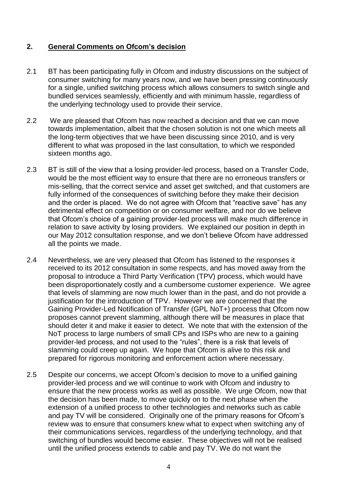# **2. General Comments on Ofcom's decision**

- 2.1 BT has been participating fully in Ofcom and industry discussions on the subject of consumer switching for many years now, and we have been pressing continuously for a single, unified switching process which allows consumers to switch single and bundled services seamlessly, efficiently and with minimum hassle, regardless of the underlying technology used to provide their service.
- 2.2 We are pleased that Ofcom has now reached a decision and that we can move towards implementation, albeit that the chosen solution is not one which meets all the long-term objectives that we have been discussing since 2010, and is very different to what was proposed in the last consultation, to which we responded sixteen months ago.
- 2.3 BT is still of the view that a losing provider-led process, based on a Transfer Code, would be the most efficient way to ensure that there are no erroneous transfers or mis-selling, that the correct service and asset get switched, and that customers are fully informed of the consequences of switching before they make their decision and the order is placed. We do not agree with Ofcom that "reactive save" has any detrimental effect on competition or on consumer welfare, and nor do we believe that Ofcom's choice of a gaining provider-led process will make much difference in relation to save activity by losing providers. We explained our position in depth in our May 2012 consultation response, and we don't believe Ofcom have addressed all the points we made.
- 2.4 Nevertheless, we are very pleased that Ofcom has listened to the responses it received to its 2012 consultation in some respects, and has moved away from the proposal to introduce a Third Party Verification (TPV) process, which would have been disproportionately costly and a cumbersome customer experience. We agree that levels of slamming are now much lower than in the past, and do not provide a justification for the introduction of TPV. However we are concerned that the Gaining Provider-Led Notification of Transfer (GPL NoT+) process that Ofcom now proposes cannot prevent slamming, although there will be measures in place that should deter it and make it easier to detect. We note that with the extension of the NoT process to large numbers of small CPs and ISPs who are new to a gaining provider-led process, and not used to the "rules", there is a risk that levels of slamming could creep up again. We hope that Ofcom is alive to this risk and prepared for rigorous monitoring and enforcement action where necessary.
- 2.5 Despite our concerns, we accept Ofcom's decision to move to a unified gaining provider-led process and we will continue to work with Ofcom and industry to ensure that the new process works as well as possible. We urge Ofcom, now that the decision has been made, to move quickly on to the next phase when the extension of a unified process to other technologies and networks such as cable and pay TV will be considered. Originally one of the primary reasons for Ofcom's review was to ensure that consumers knew what to expect when switching any of their communications services, regardless of the underlying technology, and that switching of bundles would become easier. These objectives will not be realised until the unified process extends to cable and pay TV. We do not want the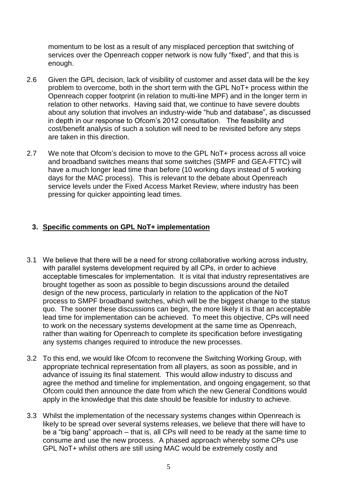momentum to be lost as a result of any misplaced perception that switching of services over the Openreach copper network is now fully "fixed", and that this is enough.

- 2.6 Given the GPL decision, lack of visibility of customer and asset data will be the key problem to overcome, both in the short term with the GPL NoT+ process within the Openreach copper footprint (in relation to multi-line MPF) and in the longer term in relation to other networks. Having said that, we continue to have severe doubts about any solution that involves an industry-wide "hub and database", as discussed in depth in our response to Ofcom's 2012 consultation. The feasibility and cost/benefit analysis of such a solution will need to be revisited before any steps are taken in this direction.
- 2.7 We note that Ofcom's decision to move to the GPL NoT+ process across all voice and broadband switches means that some switches (SMPF and GEA-FTTC) will have a much longer lead time than before (10 working days instead of 5 working days for the MAC process). This is relevant to the debate about Openreach service levels under the Fixed Access Market Review, where industry has been pressing for quicker appointing lead times.

# **3. Specific comments on GPL NoT+ implementation**

- 3.1 We believe that there will be a need for strong collaborative working across industry, with parallel systems development required by all CPs, in order to achieve acceptable timescales for implementation. It is vital that industry representatives are brought together as soon as possible to begin discussions around the detailed design of the new process, particularly in relation to the application of the NoT process to SMPF broadband switches, which will be the biggest change to the status quo. The sooner these discussions can begin, the more likely it is that an acceptable lead time for implementation can be achieved. To meet this objective, CPs will need to work on the necessary systems development at the same time as Openreach, rather than waiting for Openreach to complete its specification before investigating any systems changes required to introduce the new processes.
- 3.2 To this end, we would like Ofcom to reconvene the Switching Working Group, with appropriate technical representation from all players, as soon as possible, and in advance of issuing its final statement. This would allow industry to discuss and agree the method and timeline for implementation, and ongoing engagement, so that Ofcom could then announce the date from which the new General Conditions would apply in the knowledge that this date should be feasible for industry to achieve.
- 3.3 Whilst the implementation of the necessary systems changes within Openreach is likely to be spread over several systems releases, we believe that there will have to be a "big bang" approach – that is, all CPs will need to be ready at the same time to consume and use the new process. A phased approach whereby some CPs use GPL NoT+ whilst others are still using MAC would be extremely costly and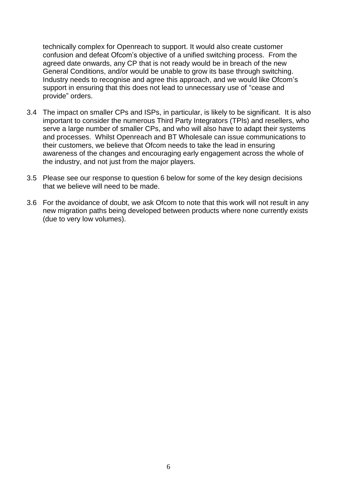technically complex for Openreach to support. It would also create customer confusion and defeat Ofcom's objective of a unified switching process. From the agreed date onwards, any CP that is not ready would be in breach of the new General Conditions, and/or would be unable to grow its base through switching. Industry needs to recognise and agree this approach, and we would like Ofcom's support in ensuring that this does not lead to unnecessary use of "cease and provide" orders.

- 3.4 The impact on smaller CPs and ISPs, in particular, is likely to be significant. It is also important to consider the numerous Third Party Integrators (TPIs) and resellers, who serve a large number of smaller CPs, and who will also have to adapt their systems and processes. Whilst Openreach and BT Wholesale can issue communications to their customers, we believe that Ofcom needs to take the lead in ensuring awareness of the changes and encouraging early engagement across the whole of the industry, and not just from the major players.
- 3.5 Please see our response to question 6 below for some of the key design decisions that we believe will need to be made.
- 3.6 For the avoidance of doubt, we ask Ofcom to note that this work will not result in any new migration paths being developed between products where none currently exists (due to very low volumes).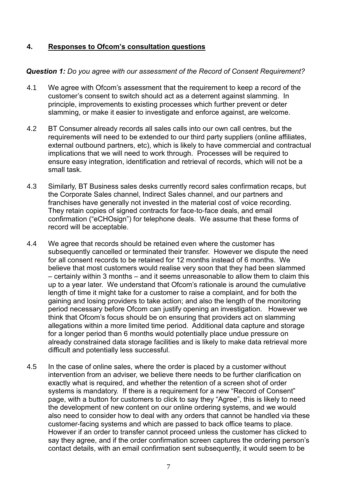# **4. Responses to Ofcom's consultation questions**

#### *Question 1: Do you agree with our assessment of the Record of Consent Requirement?*

- 4.1 We agree with Ofcom's assessment that the requirement to keep a record of the customer's consent to switch should act as a deterrent against slamming. In principle, improvements to existing processes which further prevent or deter slamming, or make it easier to investigate and enforce against, are welcome.
- 4.2 BT Consumer already records all sales calls into our own call centres, but the requirements will need to be extended to our third party suppliers (online affiliates, external outbound partners, etc), which is likely to have commercial and contractual implications that we will need to work through. Processes will be required to ensure easy integration, identification and retrieval of records, which will not be a small task.
- 4.3 Similarly, BT Business sales desks currently record sales confirmation recaps, but the Corporate Sales channel, Indirect Sales channel, and our partners and franchises have generally not invested in the material cost of voice recording. They retain copies of signed contracts for face-to-face deals, and email confirmation ("eCHOsign") for telephone deals. We assume that these forms of record will be acceptable.
- 4.4 We agree that records should be retained even where the customer has subsequently cancelled or terminated their transfer. However we dispute the need for all consent records to be retained for 12 months instead of 6 months. We believe that most customers would realise very soon that they had been slammed – certainly within 3 months – and it seems unreasonable to allow them to claim this up to a year later. We understand that Ofcom's rationale is around the cumulative length of time it might take for a customer to raise a complaint, and for both the gaining and losing providers to take action; and also the length of the monitoring period necessary before Ofcom can justify opening an investigation. However we think that Ofcom's focus should be on ensuring that providers act on slamming allegations within a more limited time period. Additional data capture and storage for a longer period than 6 months would potentially place undue pressure on already constrained data storage facilities and is likely to make data retrieval more difficult and potentially less successful.
- 4.5 In the case of online sales, where the order is placed by a customer without intervention from an adviser, we believe there needs to be further clarification on exactly what is required, and whether the retention of a screen shot of order systems is mandatory. If there is a requirement for a new "Record of Consent" page, with a button for customers to click to say they "Agree", this is likely to need the development of new content on our online ordering systems, and we would also need to consider how to deal with any orders that cannot be handled via these customer-facing systems and which are passed to back office teams to place. However if an order to transfer cannot proceed unless the customer has clicked to say they agree, and if the order confirmation screen captures the ordering person's contact details, with an email confirmation sent subsequently, it would seem to be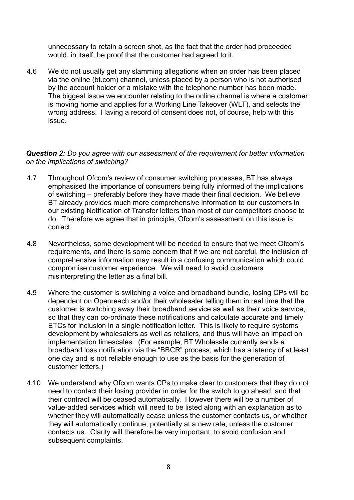unnecessary to retain a screen shot, as the fact that the order had proceeded would, in itself, be proof that the customer had agreed to it.

4.6 We do not usually get any slamming allegations when an order has been placed via the online (bt.com) channel, unless placed by a person who is not authorised by the account holder or a mistake with the telephone number has been made. The biggest issue we encounter relating to the online channel is where a customer is moving home and applies for a Working Line Takeover (WLT), and selects the wrong address. Having a record of consent does not, of course, help with this issue.

#### *Question 2: Do you agree with our assessment of the requirement for better information on the implications of switching?*

- 4.7 Throughout Ofcom's review of consumer switching processes, BT has always emphasised the importance of consumers being fully informed of the implications of switching – preferably before they have made their final decision. We believe BT already provides much more comprehensive information to our customers in our existing Notification of Transfer letters than most of our competitors choose to do. Therefore we agree that in principle, Ofcom's assessment on this issue is correct.
- 4.8 Nevertheless, some development will be needed to ensure that we meet Ofcom's requirements, and there is some concern that if we are not careful, the inclusion of comprehensive information may result in a confusing communication which could compromise customer experience. We will need to avoid customers misinterpreting the letter as a final bill.
- 4.9 Where the customer is switching a voice and broadband bundle, losing CPs will be dependent on Openreach and/or their wholesaler telling them in real time that the customer is switching away their broadband service as well as their voice service, so that they can co-ordinate these notifications and calculate accurate and timely ETCs for inclusion in a single notification letter. This is likely to require systems development by wholesalers as well as retailers, and thus will have an impact on implementation timescales. (For example, BT Wholesale currently sends a broadband loss notification via the "BBCR" process, which has a latency of at least one day and is not reliable enough to use as the basis for the generation of customer letters.)
- 4.10 We understand why Ofcom wants CPs to make clear to customers that they do not need to contact their losing provider in order for the switch to go ahead, and that their contract will be ceased automatically. However there will be a number of value-added services which will need to be listed along with an explanation as to whether they will automatically cease unless the customer contacts us, or whether they will automatically continue, potentially at a new rate, unless the customer contacts us. Clarity will therefore be very important, to avoid confusion and subsequent complaints.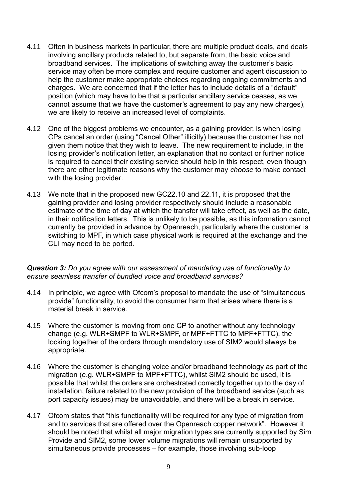- 4.11 Often in business markets in particular, there are multiple product deals, and deals involving ancillary products related to, but separate from, the basic voice and broadband services. The implications of switching away the customer's basic service may often be more complex and require customer and agent discussion to help the customer make appropriate choices regarding ongoing commitments and charges. We are concerned that if the letter has to include details of a "default" position (which may have to be that a particular ancillary service ceases, as we cannot assume that we have the customer's agreement to pay any new charges), we are likely to receive an increased level of complaints.
- 4.12 One of the biggest problems we encounter, as a gaining provider, is when losing CPs cancel an order (using "Cancel Other" illicitly) because the customer has not given them notice that they wish to leave. The new requirement to include, in the losing provider's notification letter, an explanation that no contact or further notice is required to cancel their existing service should help in this respect, even though there are other legitimate reasons why the customer may *choose* to make contact with the losing provider.
- 4.13 We note that in the proposed new GC22.10 and 22.11, it is proposed that the gaining provider and losing provider respectively should include a reasonable estimate of the time of day at which the transfer will take effect, as well as the date, in their notification letters. This is unlikely to be possible, as this information cannot currently be provided in advance by Openreach, particularly where the customer is switching to MPF, in which case physical work is required at the exchange and the CLI may need to be ported.

#### *Question 3: Do you agree with our assessment of mandating use of functionality to ensure seamless transfer of bundled voice and broadband services?*

- 4.14 In principle, we agree with Ofcom's proposal to mandate the use of "simultaneous provide" functionality, to avoid the consumer harm that arises where there is a material break in service.
- 4.15 Where the customer is moving from one CP to another without any technology change (e.g. WLR+SMPF to WLR+SMPF, or MPF+FTTC to MPF+FTTC), the locking together of the orders through mandatory use of SIM2 would always be appropriate.
- 4.16 Where the customer is changing voice and/or broadband technology as part of the migration (e.g. WLR+SMPF to MPF+FTTC), whilst SIM2 should be used, it is possible that whilst the orders are orchestrated correctly together up to the day of installation, failure related to the new provision of the broadband service (such as port capacity issues) may be unavoidable, and there will be a break in service.
- 4.17 Ofcom states that "this functionality will be required for any type of migration from and to services that are offered over the Openreach copper network". However it should be noted that whilst all major migration types are currently supported by Sim Provide and SIM2, some lower volume migrations will remain unsupported by simultaneous provide processes – for example, those involving sub-loop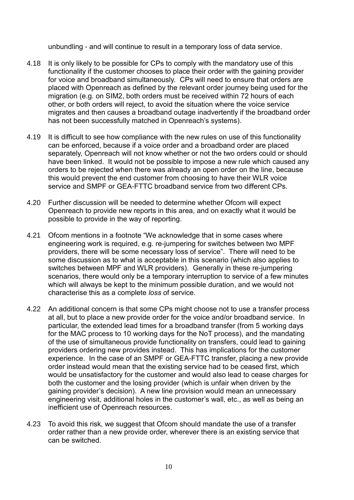unbundling - and will continue to result in a temporary loss of data service.

- 4.18 It is only likely to be possible for CPs to comply with the mandatory use of this functionality if the customer chooses to place their order with the gaining provider for voice and broadband simultaneously. CPs will need to ensure that orders are placed with Openreach as defined by the relevant order journey being used for the migration (e.g. on SIM2, both orders must be received within 72 hours of each other, or both orders will reject, to avoid the situation where the voice service migrates and then causes a broadband outage inadvertently if the broadband order has not been successfully matched in Openreach's systems).
- 4.19 It is difficult to see how compliance with the new rules on use of this functionality can be enforced, because if a voice order and a broadband order are placed separately, Openreach will not know whether or not the two orders could or should have been linked. It would not be possible to impose a new rule which caused any orders to be rejected when there was already an open order on the line, because this would prevent the end customer from choosing to have their WLR voice service and SMPF or GEA-FTTC broadband service from two different CPs.
- 4.20 Further discussion will be needed to determine whether Ofcom will expect Openreach to provide new reports in this area, and on exactly what it would be possible to provide in the way of reporting.
- 4.21 Ofcom mentions in a footnote "We acknowledge that in some cases where engineering work is required, e.g. re-jumpering for switches between two MPF providers, there will be some necessary loss of service". There will need to be some discussion as to what is acceptable in this scenario (which also applies to switches between MPF and WLR providers). Generally in these re-jumpering scenarios, there would only be a temporary interruption to service of a few minutes which will always be kept to the minimum possible duration, and we would not characterise this as a complete *loss* of service.
- 4.22 An additional concern is that some CPs might choose not to use a transfer process at all, but to place a new provide order for the voice and/or broadband service. In particular, the extended lead times for a broadband transfer (from 5 working days for the MAC process to 10 working days for the NoT process), and the mandating of the use of simultaneous provide functionality on transfers, could lead to gaining providers ordering new provides instead. This has implications for the customer experience. In the case of an SMPF or GEA-FTTC transfer, placing a new provide order instead would mean that the existing service had to be ceased first, which would be unsatisfactory for the customer and would also lead to cease charges for both the customer and the losing provider (which is unfair when driven by the gaining provider's decision). A new line provision would mean an unnecessary engineering visit, additional holes in the customer's wall, etc., as well as being an inefficient use of Openreach resources.
- 4.23 To avoid this risk, we suggest that Ofcom should mandate the use of a transfer order rather than a new provide order, wherever there is an existing service that can be switched.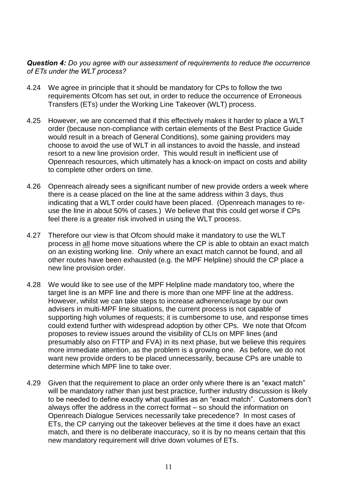*Question 4: Do you agree with our assessment of requirements to reduce the occurrence of ETs under the WLT process?* 

- 4.24 We agree in principle that it should be mandatory for CPs to follow the two requirements Ofcom has set out, in order to reduce the occurrence of Erroneous Transfers (ETs) under the Working Line Takeover (WLT) process.
- 4.25 However, we are concerned that if this effectively makes it harder to place a WLT order (because non-compliance with certain elements of the Best Practice Guide would result in a breach of General Conditions), some gaining providers may choose to avoid the use of WLT in all instances to avoid the hassle, and instead resort to a new line provision order. This would result in inefficient use of Openreach resources, which ultimately has a knock-on impact on costs and ability to complete other orders on time.
- 4.26 Openreach already sees a significant number of new provide orders a week where there is a cease placed on the line at the same address within 3 days, thus indicating that a WLT order could have been placed. (Openreach manages to reuse the line in about 50% of cases.) We believe that this could get worse if CPs feel there is a greater risk involved in using the WLT process.
- 4.27 Therefore our view is that Ofcom should make it mandatory to use the WLT process in all home move situations where the CP is able to obtain an exact match on an existing working line. Only where an exact match cannot be found, and all other routes have been exhausted (e.g. the MPF Helpline) should the CP place a new line provision order.
- 4.28 We would like to see use of the MPF Helpline made mandatory too, where the target line is an MPF line and there is more than one MPF line at the address. However, whilst we can take steps to increase adherence/usage by our own advisers in multi-MPF line situations, the current process is not capable of supporting high volumes of requests; it is cumbersome to use, and response times could extend further with widespread adoption by other CPs. We note that Ofcom proposes to review issues around the visibility of CLIs on MPF lines (and presumably also on FTTP and FVA) in its next phase, but we believe this requires more immediate attention, as the problem is a growing one. As before, we do not want new provide orders to be placed unnecessarily, because CPs are unable to determine which MPF line to take over.
- 4.29 Given that the requirement to place an order only where there is an "exact match" will be mandatory rather than just best practice, further industry discussion is likely to be needed to define exactly what qualifies as an "exact match". Customers don't always offer the address in the correct format – so should the information on Openreach Dialogue Services necessarily take precedence? In most cases of ETs, the CP carrying out the takeover believes at the time it does have an exact match, and there is no deliberate inaccuracy, so it is by no means certain that this new mandatory requirement will drive down volumes of ETs.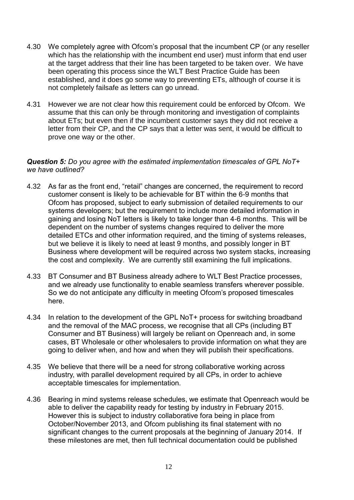- 4.30 We completely agree with Ofcom's proposal that the incumbent CP (or any reseller which has the relationship with the incumbent end user) must inform that end user at the target address that their line has been targeted to be taken over. We have been operating this process since the WLT Best Practice Guide has been established, and it does go some way to preventing ETs, although of course it is not completely failsafe as letters can go unread.
- 4.31 However we are not clear how this requirement could be enforced by Ofcom. We assume that this can only be through monitoring and investigation of complaints about ETs; but even then if the incumbent customer says they did not receive a letter from their CP, and the CP says that a letter was sent, it would be difficult to prove one way or the other.

#### *Question 5: Do you agree with the estimated implementation timescales of GPL NoT+ we have outlined?*

- 4.32 As far as the front end, "retail" changes are concerned, the requirement to record customer consent is likely to be achievable for BT within the 6-9 months that Ofcom has proposed, subject to early submission of detailed requirements to our systems developers; but the requirement to include more detailed information in gaining and losing NoT letters is likely to take longer than 4-6 months. This will be dependent on the number of systems changes required to deliver the more detailed ETCs and other information required, and the timing of systems releases, but we believe it is likely to need at least 9 months, and possibly longer in BT Business where development will be required across two system stacks, increasing the cost and complexity. We are currently still examining the full implications.
- 4.33 BT Consumer and BT Business already adhere to WLT Best Practice processes, and we already use functionality to enable seamless transfers wherever possible. So we do not anticipate any difficulty in meeting Ofcom's proposed timescales here.
- 4.34 In relation to the development of the GPL NoT+ process for switching broadband and the removal of the MAC process, we recognise that all CPs (including BT Consumer and BT Business) will largely be reliant on Openreach and, in some cases, BT Wholesale or other wholesalers to provide information on what they are going to deliver when, and how and when they will publish their specifications.
- 4.35 We believe that there will be a need for strong collaborative working across industry, with parallel development required by all CPs, in order to achieve acceptable timescales for implementation.
- 4.36 Bearing in mind systems release schedules, we estimate that Openreach would be able to deliver the capability ready for testing by industry in February 2015. However this is subject to industry collaborative fora being in place from October/November 2013, and Ofcom publishing its final statement with no significant changes to the current proposals at the beginning of January 2014. If these milestones are met, then full technical documentation could be published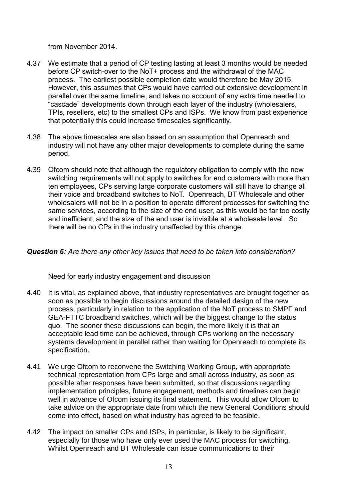from November 2014.

- 4.37 We estimate that a period of CP testing lasting at least 3 months would be needed before CP switch-over to the NoT+ process and the withdrawal of the MAC process. The earliest possible completion date would therefore be May 2015. However, this assumes that CPs would have carried out extensive development in parallel over the same timeline, and takes no account of any extra time needed to "cascade" developments down through each layer of the industry (wholesalers, TPIs, resellers, etc) to the smallest CPs and ISPs. We know from past experience that potentially this could increase timescales significantly.
- 4.38 The above timescales are also based on an assumption that Openreach and industry will not have any other major developments to complete during the same period.
- 4.39 Ofcom should note that although the regulatory obligation to comply with the new switching requirements will not apply to switches for end customers with more than ten employees, CPs serving large corporate customers will still have to change all their voice and broadband switches to NoT. Openreach, BT Wholesale and other wholesalers will not be in a position to operate different processes for switching the same services, according to the size of the end user, as this would be far too costly and inefficient, and the size of the end user is invisible at a wholesale level. So there will be no CPs in the industry unaffected by this change.

# *Question 6: Are there any other key issues that need to be taken into consideration?*

# Need for early industry engagement and discussion

- 4.40 It is vital, as explained above, that industry representatives are brought together as soon as possible to begin discussions around the detailed design of the new process, particularly in relation to the application of the NoT process to SMPF and GEA-FTTC broadband switches, which will be the biggest change to the status quo. The sooner these discussions can begin, the more likely it is that an acceptable lead time can be achieved, through CPs working on the necessary systems development in parallel rather than waiting for Openreach to complete its specification.
- 4.41 We urge Ofcom to reconvene the Switching Working Group, with appropriate technical representation from CPs large and small across industry, as soon as possible after responses have been submitted, so that discussions regarding implementation principles, future engagement, methods and timelines can begin well in advance of Ofcom issuing its final statement. This would allow Ofcom to take advice on the appropriate date from which the new General Conditions should come into effect, based on what industry has agreed to be feasible.
- 4.42 The impact on smaller CPs and ISPs, in particular, is likely to be significant, especially for those who have only ever used the MAC process for switching. Whilst Openreach and BT Wholesale can issue communications to their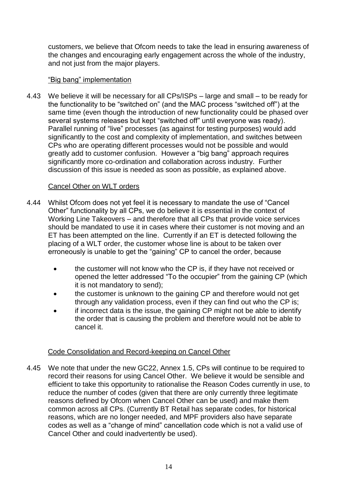customers, we believe that Ofcom needs to take the lead in ensuring awareness of the changes and encouraging early engagement across the whole of the industry, and not just from the major players.

# "Big bang" implementation

4.43 We believe it will be necessary for all CPs/ISPs – large and small – to be ready for the functionality to be "switched on" (and the MAC process "switched off") at the same time (even though the introduction of new functionality could be phased over several systems releases but kept "switched off" until everyone was ready). Parallel running of "live" processes (as against for testing purposes) would add significantly to the cost and complexity of implementation, and switches between CPs who are operating different processes would not be possible and would greatly add to customer confusion. However a "big bang" approach requires significantly more co-ordination and collaboration across industry. Further discussion of this issue is needed as soon as possible, as explained above.

#### Cancel Other on WLT orders

- 4.44 Whilst Ofcom does not yet feel it is necessary to mandate the use of "Cancel Other" functionality by all CPs, we do believe it is essential in the context of Working Line Takeovers – and therefore that all CPs that provide voice services should be mandated to use it in cases where their customer is not moving and an ET has been attempted on the line. Currently if an ET is detected following the placing of a WLT order, the customer whose line is about to be taken over erroneously is unable to get the "gaining" CP to cancel the order, because
	- the customer will not know who the CP is, if they have not received or opened the letter addressed "To the occupier" from the gaining CP (which it is not mandatory to send);
	- the customer is unknown to the gaining CP and therefore would not get through any validation process, even if they can find out who the CP is;
	- if incorrect data is the issue, the gaining CP might not be able to identify the order that is causing the problem and therefore would not be able to cancel it.

# Code Consolidation and Record-keeping on Cancel Other

4.45 We note that under the new GC22, Annex 1.5, CPs will continue to be required to record their reasons for using Cancel Other. We believe it would be sensible and efficient to take this opportunity to rationalise the Reason Codes currently in use, to reduce the number of codes (given that there are only currently three legitimate reasons defined by Ofcom when Cancel Other can be used) and make them common across all CPs. (Currently BT Retail has separate codes, for historical reasons, which are no longer needed, and MPF providers also have separate codes as well as a "change of mind" cancellation code which is not a valid use of Cancel Other and could inadvertently be used).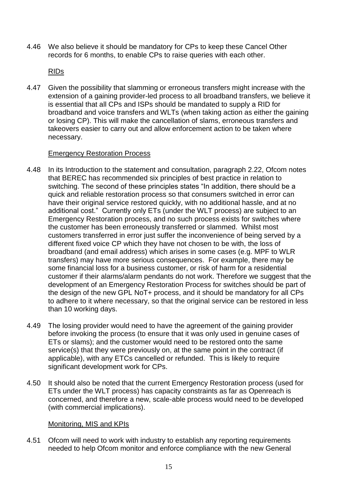4.46 We also believe it should be mandatory for CPs to keep these Cancel Other records for 6 months, to enable CPs to raise queries with each other.

RIDs

4.47 Given the possibility that slamming or erroneous transfers might increase with the extension of a gaining provider-led process to all broadband transfers, we believe it is essential that all CPs and ISPs should be mandated to supply a RID for broadband and voice transfers and WLTs (when taking action as either the gaining or losing CP). This will make the cancellation of slams, erroneous transfers and takeovers easier to carry out and allow enforcement action to be taken where necessary.

# Emergency Restoration Process

- 4.48 In its Introduction to the statement and consultation, paragraph 2.22, Ofcom notes that BEREC has recommended six principles of best practice in relation to switching. The second of these principles states "In addition, there should be a quick and reliable restoration process so that consumers switched in error can have their original service restored quickly, with no additional hassle, and at no additional cost." Currently only ETs (under the WLT process) are subject to an Emergency Restoration process, and no such process exists for switches where the customer has been erroneously transferred or slammed. Whilst most customers transferred in error just suffer the inconvenience of being served by a different fixed voice CP which they have not chosen to be with, the loss of broadband (and email address) which arises in some cases (e.g. MPF to WLR transfers) may have more serious consequences. For example, there may be some financial loss for a business customer, or risk of harm for a residential customer if their alarms/alarm pendants do not work. Therefore we suggest that the development of an Emergency Restoration Process for switches should be part of the design of the new GPL NoT+ process, and it should be mandatory for all CPs to adhere to it where necessary, so that the original service can be restored in less than 10 working days.
- 4.49 The losing provider would need to have the agreement of the gaining provider before invoking the process (to ensure that it was only used in genuine cases of ETs or slams); and the customer would need to be restored onto the same service(s) that they were previously on, at the same point in the contract (if applicable), with any ETCs cancelled or refunded. This is likely to require significant development work for CPs.
- 4.50 It should also be noted that the current Emergency Restoration process (used for ETs under the WLT process) has capacity constraints as far as Openreach is concerned, and therefore a new, scale-able process would need to be developed (with commercial implications).

# Monitoring, MIS and KPIs

4.51 Ofcom will need to work with industry to establish any reporting requirements needed to help Ofcom monitor and enforce compliance with the new General